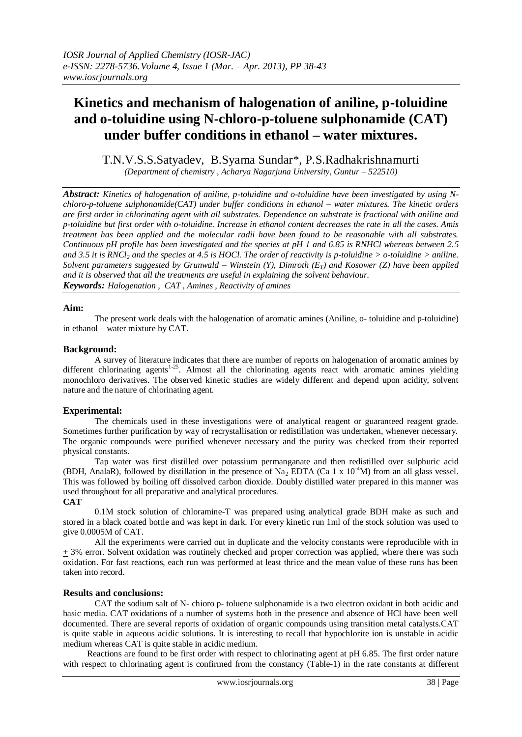# **Kinetics and mechanism of halogenation of aniline, p-toluidine and o-toluidine using N-chloro-p-toluene sulphonamide (CAT) under buffer conditions in ethanol – water mixtures.**

T.N.V.S.S.Satyadev, B.Syama Sundar\*, P.S.Radhakrishnamurti

*(Department of chemistry , Acharya Nagarjuna University, Guntur – 522510)*

*Abstract: Kinetics of halogenation of aniline, p-toluidine and o-toluidine have been investigated by using Nchloro-p-toluene sulphonamide(CAT) under buffer conditions in ethanol – water mixtures. The kinetic orders are first order in chlorinating agent with all substrates. Dependence on substrate is fractional with aniline and p-toluidine but first order with o-toluidine. Increase in ethanol content decreases the rate in all the cases. Amis treatment has been applied and the molecular radii have been found to be reasonable with all substrates. Continuous pH profile has been investigated and the species at pH 1 and 6.85 is RNHCl whereas between 2.5 and 3.5 it is RNCl<sup>2</sup> and the species at 4.5 is HOCl. The order of reactivity is p-toluidine > o-toluidine > aniline. Solvent parameters suggested by Grunwald – Winstein (Y), Dimroth (ET) and Kosower (Z) have been applied and it is observed that all the treatments are useful in explaining the solvent behaviour. Keywords: Halogenation , CAT , Amines , Reactivity of amines*

## **Aim:**

The present work deals with the halogenation of aromatic amines (Aniline, o- toluidine and p-toluidine) in ethanol – water mixture by CAT.

#### **Background:**

A survey of literature indicates that there are number of reports on halogenation of aromatic amines by different chlorinating agents<sup>1-25</sup>. Almost all the chlorinating agents react with aromatic amines yielding monochloro derivatives. The observed kinetic studies are widely different and depend upon acidity, solvent nature and the nature of chlorinating agent.

## **Experimental:**

The chemicals used in these investigations were of analytical reagent or guaranteed reagent grade. Sometimes further purification by way of recrystallisation or redistillation was undertaken, whenever necessary. The organic compounds were purified whenever necessary and the purity was checked from their reported physical constants.

 Tap water was first distilled over potassium permanganate and then redistilled over sulphuric acid (BDH, AnalaR), followed by distillation in the presence of Na<sub>2</sub> EDTA (Ca 1 x 10<sup>-4</sup>M) from an all glass vessel. This was followed by boiling off dissolved carbon dioxide. Doubly distilled water prepared in this manner was used throughout for all preparative and analytical procedures.

### **CAT**

0.1M stock solution of chloramine-T was prepared using analytical grade BDH make as such and stored in a black coated bottle and was kept in dark. For every kinetic run 1ml of the stock solution was used to give 0.0005M of CAT.

All the experiments were carried out in duplicate and the velocity constants were reproducible with in + 3% error. Solvent oxidation was routinely checked and proper correction was applied, where there was such oxidation. For fast reactions, each run was performed at least thrice and the mean value of these runs has been taken into record.

#### **Results and conclusions:**

CAT the sodium salt of N- chioro p- toluene sulphonamide is a two electron oxidant in both acidic and basic media. CAT oxidations of a number of systems both in the presence and absence of HCl have been well documented. There are several reports of oxidation of organic compounds using transition metal catalysts.CAT is quite stable in aqueous acidic solutions. It is interesting to recall that hypochlorite ion is unstable in acidic medium whereas CAT is quite stable in acidic medium.

 Reactions are found to be first order with respect to chlorinating agent at pH 6.85. The first order nature with respect to chlorinating agent is confirmed from the constancy (Table-1) in the rate constants at different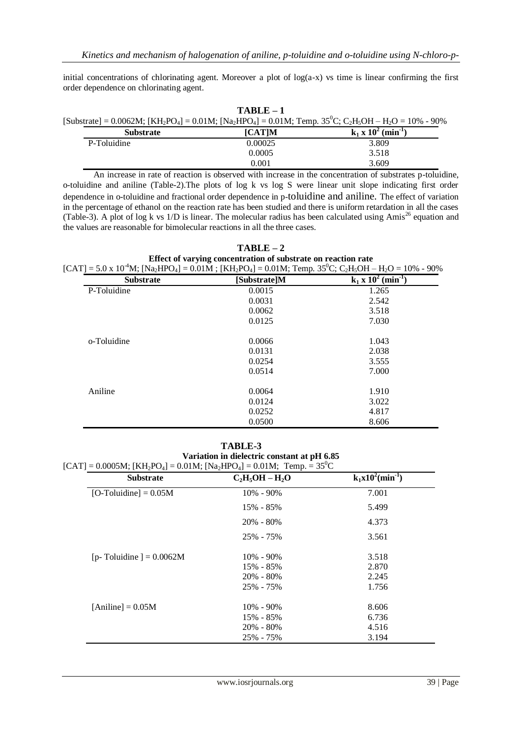initial concentrations of chlorinating agent. Moreover a plot of log(a-x) vs time is linear confirming the first order dependence on chlorinating agent.

| $TARI.E-1$                                                                                                                                                                                               |               |                         |  |
|----------------------------------------------------------------------------------------------------------------------------------------------------------------------------------------------------------|---------------|-------------------------|--|
| [Substrate] = 0.0062M; [KH <sub>2</sub> PO <sub>4</sub> ] = 0.01M; [Na <sub>2</sub> HPO <sub>4</sub> ] = 0.01M; Temp. 35 <sup>0</sup> C; C <sub>2</sub> H <sub>5</sub> OH – H <sub>2</sub> O = 10% - 90% |               |                         |  |
| <b>Substrate</b>                                                                                                                                                                                         | <b>ICATIM</b> | $k_1 x 10^2 (min^{-1})$ |  |

| vuvsu au    | $\sum_{i=1}^{n}$ | $\mathbf{A}$ $\mathbf{A}$<br>,,,,,,,,                                                                                                                                                                                              |
|-------------|------------------|------------------------------------------------------------------------------------------------------------------------------------------------------------------------------------------------------------------------------------|
| P-Toluidine | 0.00025          | 3.809                                                                                                                                                                                                                              |
|             | 0.0005           | 3.518                                                                                                                                                                                                                              |
|             | 0.001            | 3.609                                                                                                                                                                                                                              |
|             |                  | $\lambda$ , and the set of the set of the set of the set of the set of the set of the set of the set of the set of the set of the set of the set of the set of the set of the set of the set of the set of the set of the set of t |

 An increase in rate of reaction is observed with increase in the concentration of substrates p-toluidine, o-toluidine and aniline (Table-2).The plots of log k vs log S were linear unit slope indicating first order dependence in o-toluidine and fractional order dependence in p-toluidine and aniline. The effect of variation in the percentage of ethanol on the reaction rate has been studied and there is uniform retardation in all the cases (Table-3). A plot of log k vs  $1/D$  is linear. The molecular radius has been calculated using Amis<sup>26</sup> equation and the values are reasonable for bimolecular reactions in all the three cases.

| $TARI.E-2$                                                                                                                                                          |
|---------------------------------------------------------------------------------------------------------------------------------------------------------------------|
| Effect of varying concentration of substrate on reaction rate                                                                                                       |
| $[CAT] = 5.0 \times 10^{-4}M$ ; $[Na2HPO4] = 0.01M$ ; $[KH2PO4] = 0.01M$ ; Temp. 35 <sup>0</sup> C; C <sub>2</sub> H <sub>3</sub> OH - H <sub>2</sub> O = 10% - 90% |

| <b>Substrate</b> | [Substrate]M | $k_1 \times 10^2$ (min <sup>-1</sup> ) |
|------------------|--------------|----------------------------------------|
| P-Toluidine      | 0.0015       | 1.265                                  |
|                  | 0.0031       | 2.542                                  |
|                  | 0.0062       | 3.518                                  |
|                  | 0.0125       | 7.030                                  |
| o-Toluidine      | 0.0066       | 1.043                                  |
|                  | 0.0131       | 2.038                                  |
|                  | 0.0254       | 3.555                                  |
|                  | 0.0514       | 7.000                                  |
| Aniline          | 0.0064       | 1.910                                  |
|                  | 0.0124       | 3.022                                  |
|                  | 0.0252       | 4.817                                  |
|                  | 0.0500       | 8.606                                  |

**TABLE-3**

**Variation in dielectric constant at pH 6.85**  $[CAT] = 0.0005M$ ;  $[KH_2PO_4] = 0.01M$ ;  $[Na_2HPO_4] = 0.01M$ ;  $Temp. = 35^{\circ}C$ 

| <b>Substrate</b>          | $C_2H_5OH - H_2O$ | $k_1x10^2$ (min <sup>-1</sup> ) |
|---------------------------|-------------------|---------------------------------|
| $[O-Toluidine] = 0.05M$   | $10\% - 90\%$     | 7.001                           |
|                           | 15% - 85%         | 5.499                           |
|                           | $20\% - 80\%$     | 4.373                           |
|                           | 25% - 75%         | 3.561                           |
| [p-Toluidine] = $0.0062M$ | $10\% - 90\%$     | 3.518                           |
|                           | 15% - 85%         | 2.870                           |
|                           | $20\% - 80\%$     | 2.245                           |
|                           | 25% - 75%         | 1.756                           |
| $[Animal] = 0.05M$        | $10\% - 90\%$     | 8.606                           |
|                           | 15% - 85%         | 6.736                           |
|                           | $20\% - 80\%$     | 4.516                           |
|                           | 25% - 75%         | 3.194                           |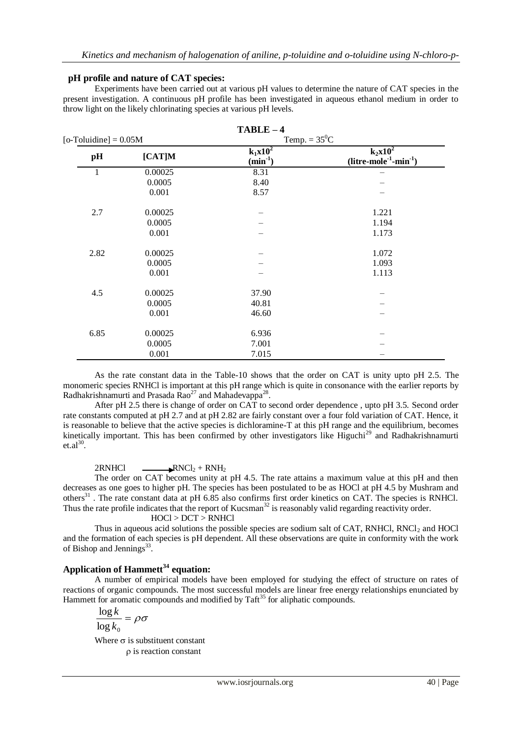### **pH profile and nature of CAT species:**

Experiments have been carried out at various pH values to determine the nature of CAT species in the present investigation. A continuous pH profile has been investigated in aqueous ethanol medium in order to throw light on the likely chlorinating species at various pH levels.

| $TABLE-4$                  |         |                            |                                                          |  |
|----------------------------|---------|----------------------------|----------------------------------------------------------|--|
| $[o$ -Toluidine] = $0.05M$ |         | Temp. = $35^0C$            |                                                          |  |
| pH                         | [CAT]M  | $k_1x10^2$<br>$(min^{-1})$ | $k_2x10^2$<br>$(litre\text{-}mole^{-1}\text{-}min^{-1})$ |  |
| 1                          | 0.00025 | 8.31                       |                                                          |  |
|                            | 0.0005  | 8.40                       |                                                          |  |
|                            | 0.001   | 8.57                       |                                                          |  |
| 2.7                        | 0.00025 |                            | 1.221                                                    |  |
|                            | 0.0005  |                            | 1.194                                                    |  |
|                            | 0.001   |                            | 1.173                                                    |  |
| 2.82                       | 0.00025 |                            | 1.072                                                    |  |
|                            | 0.0005  |                            | 1.093                                                    |  |
|                            | 0.001   |                            | 1.113                                                    |  |
| 4.5                        | 0.00025 | 37.90                      |                                                          |  |
|                            | 0.0005  | 40.81                      |                                                          |  |
|                            | 0.001   | 46.60                      |                                                          |  |
| 6.85                       | 0.00025 | 6.936                      |                                                          |  |
|                            | 0.0005  | 7.001                      |                                                          |  |
|                            | 0.001   | 7.015                      |                                                          |  |

As the rate constant data in the Table-10 shows that the order on CAT is unity upto pH 2.5. The monomeric species RNHCl is important at this pH range which is quite in consonance with the earlier reports by Radhakrishnamurti and Prasada Rao<sup>27</sup> and Mahadevappa<sup>28</sup>.

After pH 2.5 there is change of order on CAT to second order dependence , upto pH 3.5. Second order rate constants computed at pH 2.7 and at pH 2.82 are fairly constant over a four fold variation of CAT. Hence, it is reasonable to believe that the active species is dichloramine-T at this pH range and the equilibrium, becomes kinetically important. This has been confirmed by other investigators like Higuchi<sup>29</sup> and Radhakrishnamurti  $et.a<sup>30</sup>$ .

## $2RNHCl$   $\longrightarrow RNCl_2 + RNH_2$

The order on CAT becomes unity at pH 4.5. The rate attains a maximum value at this pH and then decreases as one goes to higher pH. The species has been postulated to be as HOCl at pH 4.5 by Mushram and others<sup>31</sup>. The rate constant data at pH 6.85 also confirms first order kinetics on CAT. The species is RNHCl. Thus the rate profile indicates that the report of Kucsman<sup>32</sup> is reasonably valid regarding reactivity order.

#### HOCl > DCT > RNHCl

Thus in aqueous acid solutions the possible species are sodium salt of CAT, RNHCl, RNCl $_2$  and HOCl and the formation of each species is pH dependent. All these observations are quite in conformity with the work of Bishop and Jennings $^{33}$ .

## **Application of Hammett<sup>34</sup> equation:**

A number of empirical models have been employed for studying the effect of structure on rates of reactions of organic compounds. The most successful models are linear free energy relationships enunciated by Hammett for aromatic compounds and modified by  $T\text{aff}^{35}$  for aliphatic compounds.

$$
\frac{\log k}{\log k_0} = \rho \sigma
$$

Where  $\sigma$  is substituent constant  $\rho$  is reaction constant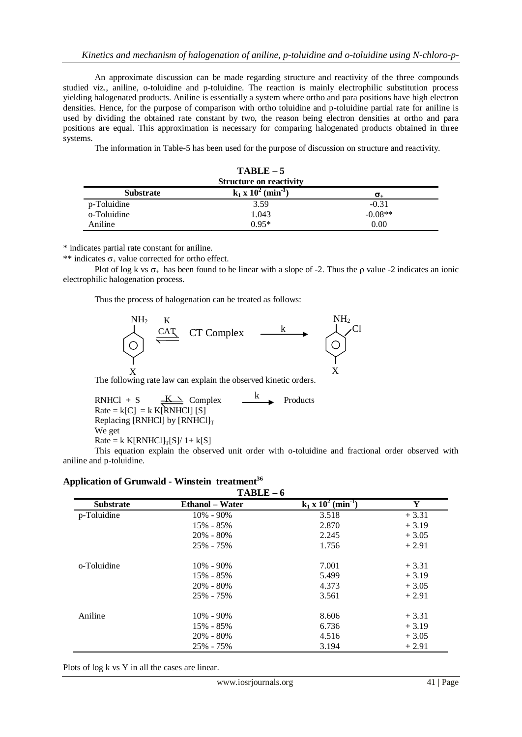An approximate discussion can be made regarding structure and reactivity of the three compounds studied viz., aniline, o-toluidine and p-toluidine. The reaction is mainly electrophilic substitution process yielding halogenated products. Aniline is essentially a system where ortho and para positions have high electron densities. Hence, for the purpose of comparison with ortho toluidine and p-toluidine partial rate for aniline is used by dividing the obtained rate constant by two, the reason being electron densities at ortho and para positions are equal. This approximation is necessary for comparing halogenated products obtained in three systems.

The information in Table-5 has been used for the purpose of discussion on structure and reactivity.

| $TABLE-5$                                         |         |           |  |
|---------------------------------------------------|---------|-----------|--|
| <b>Structure on reactivity</b>                    |         |           |  |
| $k_1 x 10^2 (min^{-1})$<br><b>Substrate</b><br>σ. |         |           |  |
| p-Toluidine                                       | 3.59    | $-0.31$   |  |
| o-Toluidine                                       | 1.043   | $-0.08**$ |  |
| Aniline                                           | $0.95*$ | 0.00      |  |

\* indicates partial rate constant for aniline.

\*\* indicates  $\sigma_{+}$  value corrected for ortho effect.

Plot of log k vs  $\sigma_{+}$  has been found to be linear with a slope of -2. Thus the  $\rho$  value -2 indicates an ionic electrophilic halogenation process.

Thus the process of halogenation can be treated as follows:



The following rate law can explain the observed kinetic orders.

RNHCl + S  $\underline{\underline{K\rightarrow}}$  Complex  $\underline{\underline{K\rightarrow}}$  Products  $Rate = k[C] = k K[\text{RNHCl}][S]$ Replacing [RNHCl] by  $[RNHC1]_T$ We get  $Rate = k K[RNHCl]_{T}[S]/1+k[S]$ K k

This equation explain the observed unit order with o-toluidine and fractional order observed with aniline and p-toluidine.

| $TABLE - 6$      |                        |                         |         |
|------------------|------------------------|-------------------------|---------|
| <b>Substrate</b> | <b>Ethanol</b> – Water | $k_1 x 10^2 (min^{-1})$ | Y       |
| p-Toluidine      | $10\% - 90\%$          | 3.518                   | $+3.31$ |
|                  | 15% - 85%              | 2.870                   | $+3.19$ |
|                  | $20\% - 80\%$          | 2.245                   | $+3.05$ |
|                  | 25% - 75%              | 1.756                   | $+2.91$ |
| o-Toluidine      | $10\% - 90\%$          | 7.001                   | $+3.31$ |
|                  | 15% - 85%              | 5.499                   | $+3.19$ |
|                  | $20\% - 80\%$          | 4.373                   | $+3.05$ |
|                  | 25% - 75%              | 3.561                   | $+2.91$ |
| Aniline          | $10\% - 90\%$          | 8.606                   | $+3.31$ |
|                  | 15% - 85%              | 6.736                   | $+3.19$ |
|                  | $20\% - 80\%$          | 4.516                   | $+3.05$ |
|                  | 25% - 75%              | 3.194                   | $+2.91$ |

## **Application of Grunwald - Winstein treatment<sup>36</sup>**

Plots of log k vs Y in all the cases are linear.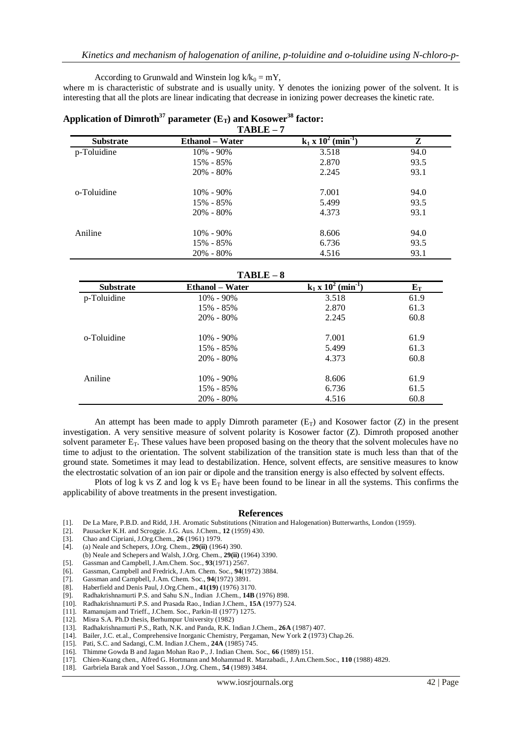According to Grunwald and Winstein log  $k/k_0 = mY$ ,

where m is characteristic of substrate and is usually unity. Y denotes the ionizing power of the solvent. It is interesting that all the plots are linear indicating that decrease in ionizing power decreases the kinetic rate.

| $TABLE - 7$      |                        |                         |      |  |
|------------------|------------------------|-------------------------|------|--|
| <b>Substrate</b> | <b>Ethanol</b> – Water | $k_1 x 10^2 (min^{-1})$ | Z    |  |
| p-Toluidine      | $10\% - 90\%$          | 3.518                   | 94.0 |  |
|                  | 15% - 85%              | 2.870                   | 93.5 |  |
|                  | $20\% - 80\%$          | 2.245                   | 93.1 |  |
| o-Toluidine      | $10\% - 90\%$          | 7.001                   | 94.0 |  |
|                  | 15% - 85%              | 5.499                   | 93.5 |  |
|                  | $20\% - 80\%$          | 4.373                   | 93.1 |  |
| Aniline          | $10\% - 90\%$          | 8.606                   | 94.0 |  |
|                  | 15% - 85%              | 6.736                   | 93.5 |  |
|                  | $20\% - 80\%$          | 4.516                   | 93.1 |  |

# **Application of Dimroth<sup>37</sup> parameter (ET) and Kosower<sup>38</sup> factor:**

**TABLE – 8**

| <b>Substrate</b> | .<br><b>Ethanol</b> – Water | $k_1 \times 10^2$ (min <sup>-1</sup> ) | ${\bf E_T}$ |
|------------------|-----------------------------|----------------------------------------|-------------|
| p-Toluidine      | $10\% - 90\%$               | 3.518                                  | 61.9        |
|                  | 15% - 85%                   | 2.870                                  | 61.3        |
|                  | $20\% - 80\%$               | 2.245                                  | 60.8        |
| o-Toluidine      | $10\% - 90\%$               | 7.001                                  | 61.9        |
|                  | 15% - 85%                   | 5.499                                  | 61.3        |
|                  | $20\% - 80\%$               | 4.373                                  | 60.8        |
| Aniline          | $10\% - 90\%$               | 8.606                                  | 61.9        |
|                  | 15% - 85%                   | 6.736                                  | 61.5        |
|                  | $20\% - 80\%$               | 4.516                                  | 60.8        |

An attempt has been made to apply Dimroth parameter  $(E_T)$  and Kosower factor (Z) in the present investigation. A very sensitive measure of solvent polarity is Kosower factor (Z). Dimroth proposed another solvent parameter E<sub>T</sub>. These values have been proposed basing on the theory that the solvent molecules have no time to adjust to the orientation. The solvent stabilization of the transition state is much less than that of the ground state. Sometimes it may lead to destabilization. Hence, solvent effects, are sensitive measures to know the electrostatic solvation of an ion pair or dipole and the transition energy is also effected by solvent effects.

Plots of log k vs Z and log k vs  $E_T$  have been found to be linear in all the systems. This confirms the applicability of above treatments in the present investigation.

#### **References**

- [1]. De La Mare, P.B.D. and Ridd, J.H. Aromatic Substitutions (Nitration and Halogenation) Butterwarths, London (1959).
- [2]. Pausacker K.H. and Scroggie. J.G. Aus. J.Chem., **12** (1959) 430.
- [3]. Chao and Cipriani, J.Org.Chem., **26** (1961) 1979.
- [4]. (a) Neale and Schepers, J.Org. Chem., **29(ii)** (1964) 390.
- (b) Neale and Schepers and Walsh, J.Org. Chem., **29(ii)** (1964) 3390.
- [5]. Gassman and Campbell, J.Am.Chem. Soc., **93**(1971) 2567.
- [6]. Gassman, Campbell and Fredrick, J.Am. Chem. Soc., **94**(1972) 3884.
- [7]. Gassman and Campbell, J.Am. Chem. Soc., **94**(1972) 3891.
- [8]. Haberfield and Denis Paul, J.Org.Chem., **41(19)** (1976) 3170.
- [9]. Radhakrishnamurti P.S. and Sahu S.N., Indian J.Chem., **14B** (1976) 898.
- [10]. Radhakrishnamurti P.S. and Prasada Rao., Indian J.Chem., **15A** (1977) 524.
- [11]. Ramanujam and Trieff., J.Chem. Soc., Parkin-II (1977) 1275.
- [12]. Misra S.A. Ph.D thesis, Berhumpur University (1982)
- [13]. Radhakrishnamurti P.S., Rath, N.K. and Panda, R.K. Indian J.Chem., **26A** (1987) 407.
- [14]. Bailer, J.C. et.al., Comprehensive Inorganic Chemistry, Pergaman, New York **2** (1973) Chap.26.
- [15]. Pati, S.C. and Sadangi, C.M. Indian J.Chem., **24A** (1985) 745.
- [16]. Thimme Gowda B and Jagan Mohan Rao P., J. Indian Chem. Soc., **66** (1989) 151.
- [17]. Chien-Kuang chen., Alfred G. Hortmann and Mohammad R. Marzabadi., J.Am.Chem.Soc., **110** (1988) 4829.
- [18]. Garbriela Barak and Yoel Sasson., J.Org. Chem., **54** (1989) 3484.